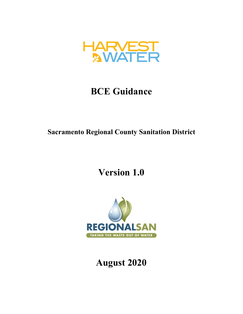

## **BCE Guidance**

**Sacramento Regional County Sanitation District**

**Version 1.0**



# **August 2020**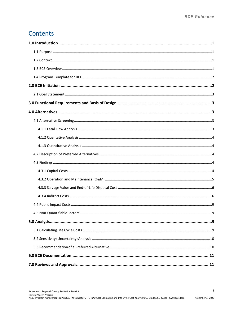## **Contents**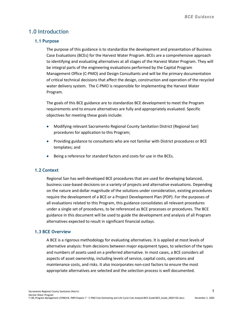## <span id="page-2-0"></span>1.0 Introduction

#### <span id="page-2-1"></span>**1.1 Purpose**

The purpose of this guidance is to standardize the development and presentation of Business Case Evaluations (BCEs) for the Harvest Water Program. BCEs are a comprehensive approach to identifying and evaluating alternatives at all stages of the Harvest Water Program. They will be integral parts of the engineering evaluations performed by the Capital Program Management Office (C-PMO) and Design Consultants and will be the primary documentation of critical technical decisions that affect the design, construction and operation of the recycled water delivery system. The C-PMO is responsible for implementing the Harvest Water Program.

The goals of this BCE guidance are to standardize BCE development to meet the Program requirements and to ensure alternatives are fully and appropriately evaluated. Specific objectives for meeting these goals include:

- Modifying relevant Sacramento Regional County Sanitation District (Regional San) procedures for application to this Program;
- Providing guidance to consultants who are not familiar with District procedures or BCE templates; and
- Being a reference for standard factors and costs for use in the BCEs.

#### <span id="page-2-2"></span>**1.2 Context**

Regional San has well-developed BCE procedures that are used for developing balanced, business case-based decisions on a variety of projects and alternative evaluations. Depending on the nature and dollar magnitude of the solutions under consideration, existing procedures require the development of a BCE or a Project Development Plan (PDP). For the purposes of all evaluations related to this Program, this guidance consolidates all relevant procedures under a single set of procedures, to be referenced as BCE processes or procedures. The BCE guidance in this document will be used to guide the development and analysis of all Program alternatives expected to result in significant financial outlays.

#### <span id="page-2-3"></span>**1.3 BCE Overview**

A BCE is a rigorous methodology for evaluating alternatives. It is applied at most levels of alternative analysis: from decisions between major equipment types, to selection of the types and numbers of assets used on a preferred alternative. In most cases, a BCE considers all aspects of asset ownership, including levels of service, capital costs, operations and maintenance costs, and risks. It also incorporates non-cost factors to ensure the most appropriate alternatives are selected and the selection process is well documented.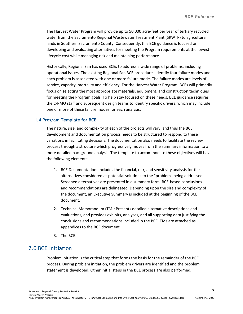The Harvest Water Program will provide up to 50,000 acre-feet per year of tertiary recycled water from the Sacramento Regional Wastewater Treatment Plant (SRWTP) to agricultural lands in Southern Sacramento County. Consequently, this BCE guidance is focused on developing and evaluating alternatives for meeting the Program requirements at the lowest lifecycle cost while managing risk and maintaining performance.

Historically, Regional San has used BCEs to address a wide range of problems, including operational issues. The existing Regional San BCE procedures identify four failure modes and each problem is associated with one or more failure mode. The failure modes are levels of service, capacity, mortality and efficiency. For the Harvest Water Program, BCEs will primarily focus on selecting the most appropriate materials, equipment, and construction techniques for meeting the Program goals. To help stay focused on these needs, BCE guidance requires the C-PMO staff and subsequent design teams to identify specific drivers, which may include one or more of these failure modes for each analysis.

#### <span id="page-3-0"></span>**1.4 Program Template for BCE**

The nature, size, and complexity of each of the projects will vary, and thus the BCE development and documentation process needs to be structured to respond to these variations in facilitating decisions. The documentation also needs to facilitate the review process through a structure which progressively moves from the summary information to a more detailed background analysis. The template to accommodate these objectives will have the following elements:

- 1. BCE Documentation: Includes the financial, risk, and sensitivity analysis for the alternatives considered as potential solutions to the "problem" being addressed. Screened alternatives are presented in a summary form. BCE-based conclusions and recommendations are delineated. Depending upon the size and complexity of the document, an Executive Summary is included at the beginning of the BCE document.
- 2. Technical Memorandum (TM): Presents detailed alternative descriptions and evaluations, and provides exhibits, analyses, and all supporting data justifying the conclusions and recommendations included in the BCE. TMs are attached as appendices to the BCE document.
- 3. The BCE.

### <span id="page-3-1"></span>2.0 BCE Initiation

Problem initiation is the critical step that forms the basis for the remainder of the BCE process. During problem initiation, the problem drivers are identified and the problem statement is developed. Other initial steps in the BCE process are also performed.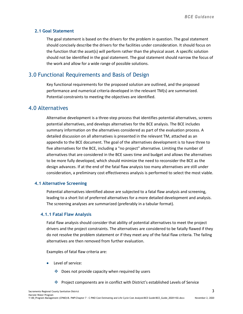#### <span id="page-4-0"></span>**2.1 Goal Statement**

The goal statement is based on the drivers for the problem in question. The goal statement should concisely describe the drivers for the facilities under consideration. It should focus on the function that the asset(s) will perform rather than the physical asset. A specific solution should not be identified in the goal statement. The goal statement should narrow the focus of the work and allow for a wide range of possible solutions.

## <span id="page-4-1"></span>3.0 Functional Requirements and Basis of Design

Key functional requirements for the proposed solution are outlined, and the proposed performance and numerical criteria developed in the relevant TM(s) are summarized. Potential constraints to meeting the objectives are identified.

## <span id="page-4-2"></span>4.0 Alternatives

Alternative development is a three-step process that identifies potential alternatives, screens potential alternatives, and develops alternatives for the BCE analysis. The BCE includes summary information on the alternatives considered as part of the evaluation process. A detailed discussion on all alternatives is presented in the relevant TM, attached as an appendix to the BCE document. The goal of the alternatives development is to have three to five alternatives for the BCE, including a "no project" alternative. Limiting the number of alternatives that are considered in the BCE saves time and budget and allows the alternatives to be more fully developed, which should minimize the need to reconsider the BCE as the design advances. If at the end of the fatal flaw analysis too many alternatives are still under consideration, a preliminary cost effectiveness analysis is performed to select the most viable.

#### <span id="page-4-3"></span>**4.1 Alternative Screening**

Potential alternatives identified above are subjected to a fatal flaw analysis and screening, leading to a short list of preferred alternatives for a more detailed development and analysis. The screening analyses are summarized (preferably in a tabular format).

#### <span id="page-4-4"></span>**4.1.1 Fatal Flaw Analysis**

Fatal flaw analysis should consider that ability of potential alternatives to meet the project drivers and the project constraints. The alternatives are considered to be fatally flawed if they do not resolve the problem statement or if they meet any of the fatal flaw criteria. The failing alternatives are then removed from further evaluation.

Examples of fatal flaw criteria are:

- Level of service:
	- ◆ Does not provide capacity when required by users
	- Project components are in conflict with District's established Levels of Service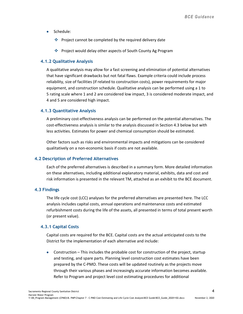- Schedule:
	- $\triangleq$  Project cannot be completed by the required delivery date
	- Project would delay other aspects of South County Ag Program

#### <span id="page-5-0"></span>**4.1.2 Qualitative Analysis**

A qualitative analysis may allow for a fast screening and elimination of potential alternatives that have significant drawbacks but not fatal flaws. Example criteria could include process reliability, size of facilities (if related to construction costs), power requirements for major equipment, and construction schedule. Qualitative analysis can be performed using a 1 to 5 rating scale where 1 and 2 are considered low impact, 3 is considered moderate impact, and 4 and 5 are considered high impact.

#### <span id="page-5-1"></span>**4.1.3 Quantitative Analysis**

A preliminary cost-effectiveness analysis can be performed on the potential alternatives. The cost-effectiveness analysis is similar to the analysis discussed in Section 4.3 below but with less activities. Estimates for power and chemical consumption should be estimated.

Other factors such as risks and environmental impacts and mitigations can be considered qualitatively on a non-economic basis if costs are not available.

#### <span id="page-5-2"></span>**4.2 Description of Preferred Alternatives**

Each of the preferred alternatives is described in a summary form. More detailed information on these alternatives, including additional explanatory material, exhibits, data and cost and risk information is presented in the relevant TM, attached as an exhibit to the BCE document.

#### <span id="page-5-3"></span>**4.3 Findings**

The life cycle cost (LCC) analyses for the preferred alternatives are presented here. The LCC analysis includes capital costs, annual operations and maintenance costs and estimated refurbishment costs during the life of the assets, all presented in terms of total present worth (or present value).

#### <span id="page-5-4"></span>**4.3.1 Capital Costs**

Capital costs are required for the BCE. Capital costs are the actual anticipated costs to the District for the implementation of each alternative and include:

• Construction – This includes the probable cost for construction of the project, startup and testing, and spare parts. Planning level construction cost estimates have been prepared by the C-PMO. These costs will be updated routinely as the projects move through their various phases and increasingly accurate information becomes available. Refer to Program and project level cost estimating procedures for additional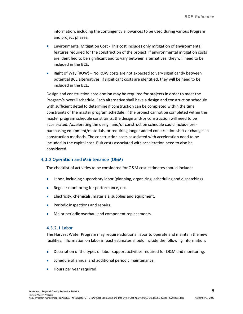information, including the contingency allowances to be used during various Program and project phases.

- Environmental Mitigation Cost This cost includes only mitigation of environmental features required for the construction of the project. If environmental mitigation costs are identified to be significant and to vary between alternatives, they will need to be included in the BCE.
- Right of Way (ROW) No ROW costs are not expected to vary significantly between potential BCE alternatives. If significant costs are identified, they will be need to be included in the BCE.

Design and construction acceleration may be required for projects in order to meet the Program's overall schedule. Each alternative shall have a design and construction schedule with sufficient detail to determine if construction can be completed within the time constraints of the master program schedule. If the project cannot be completed within the master program schedule constraints, the design and/or construction will need to be accelerated. Accelerating the design and/or construction schedule could include prepurchasing equipment/materials, or requiring longer added construction shift or changes in construction methods. The construction costs associated with acceleration need to be included in the capital cost. Risk costs associated with acceleration need to also be considered.

#### <span id="page-6-0"></span>**4.3.2 Operation and Maintenance (O&M)**

The checklist of activities to be considered for O&M cost estimates should include:

- Labor, including supervisory labor (planning, organizing, scheduling and dispatching).
- Regular monitoring for performance, etc.
- Electricity, chemicals, materials, supplies and equipment.
- Periodic inspections and repairs.
- Major periodic overhaul and component replacements.

#### 4.3.2.1 Labor

The Harvest Water Program may require additional labor to operate and maintain the new facilities. Information on labor impact estimates should include the following information:

- Description of the types of labor support activities required for O&M and monitoring.
- Schedule of annual and additional periodic maintenance.
- Hours per year required.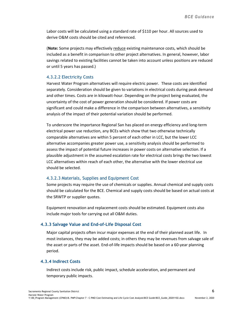Labor costs will be calculated using a standard rate of \$110 per hour. All sources used to derive O&M costs should be cited and referenced.

(**Note:** Some projects may effectively reduce existing maintenance costs, which should be included as a benefit in comparison to other project alternatives. In general, however, labor savings related to existing facilities cannot be taken into account unless positions are reduced or until 5 years has passed.)

#### 4.3.2.2 Electricity Costs

Harvest Water Program alternatives will require electric power. These costs are identified separately. Consideration should be given to variations in electrical costs during peak demand and other times. Costs are in kilowatt-hour. Depending on the project being evaluated, the uncertainty of the cost of power generation should be considered. If power costs are significant and could make a difference in the comparison between alternatives, a sensitivity analysis of the impact of their potential variation should be performed.

To underscore the importance Regional San has placed on energy efficiency and long-term electrical power use reduction, any BCEs which show that two otherwise technically comparable alternatives are within 5 percent of each other in LCC, but the lower LCC alternative accompanies greater power use, a sensitivity analysis should be performed to assess the impact of potential future increases in power costs on alternative selection. If a plausible adjustment in the assumed escalation rate for electrical costs brings the two lowest LCC alternatives within reach of each other, the alternative with the lower electrical use should be selected.

#### 4.3.2.3 Materials, Supplies and Equipment Cost

Some projects may require the use of chemicals or supplies. Annual chemical and supply costs should be calculated for the BCE. Chemical and supply costs should be based on actual costs at the SRWTP or supplier quotes.

Equipment renovation and replacement costs should be estimated. Equipment costs also include major tools for carrying out all O&M duties.

#### <span id="page-7-0"></span>**4.3.3 Salvage Value and End-of-Life Disposal Cost**

Major capital projects often incur major expenses at the end of their planned asset life. In most instances, they may be added costs; in others they may be revenues from salvage sale of the asset or parts of the asset. End-of-life impacts should be based on a 60-year planning period.

#### <span id="page-7-1"></span>**4.3.4 Indirect Costs**

Indirect costs include risk, public impact, schedule acceleration, and permanent and temporary public impacts.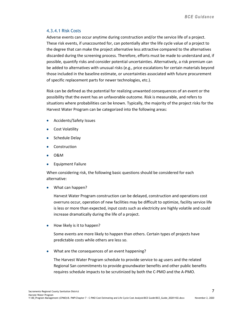#### 4.3.4.1 Risk Costs

Adverse events can occur anytime during construction and/or the service life of a project. These risk events, if unaccounted for, can potentially alter the life cycle value of a project to the degree that can make the project alternative less attractive compared to the alternatives discarded during the screening process. Therefore, efforts must be made to understand and, if possible, quantify risks and consider potential uncertainties. Alternatively, a risk premium can be added to alternatives with unusual risks (e.g., price escalations for certain materials beyond those included in the baseline estimate, or uncertainties associated with future procurement of specific replacement parts for newer technologies, etc.).

Risk can be defined as the potential for realizing unwanted consequences of an event or the possibility that the event has an unfavorable outcome. Risk is measurable, and refers to situations where probabilities can be known. Typically, the majority of the project risks for the Harvest Water Program can be categorized into the following areas:

- Accidents/Safety Issues
- Cost Volatility
- Schedule Delay
- **Construction**
- O&M
- Equipment Failure

When considering risk, the following basic questions should be considered for each alternative:

• What can happen?

Harvest Water Program construction can be delayed, construction and operations cost overruns occur, operation of new facilities may be difficult to optimize, facility service life is less or more than expected, input costs such as electricity are highly volatile and could increase dramatically during the life of a project.

• How likely is it to happen?

Some events are more likely to happen than others. Certain types of projects have predictable costs while others are less so.

• What are the consequences of an event happening?

The Harvest Water Program schedule to provide service to ag users and the related Regional San commitments to provide groundwater benefits and other public benefits requires schedule impacts to be scrutinized by both the C-PMO and the A-PMO.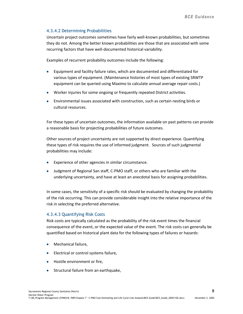#### 4.3.4.2 Determining Probabilities

Uncertain project outcomes sometimes have fairly well-known probabilities, but sometimes they do not. Among the better known probabilities are those that are associated with some recurring factors that have well-documented historical variability.

Examples of recurrent probability outcomes include the following:

- Equipment and facility failure rates, which are documented and differentiated for various types of equipment. (Maintenance histories of most types of existing SRWTP equipment can be queried using Maximo to calculate annual average repair costs.)
- Worker injuries for some ongoing or frequently repeated District activities.
- Environmental issues associated with construction, such as certain nesting birds or cultural resources.

For these types of uncertain outcomes, the information available on past patterns can provide a reasonable basis for projecting probabilities of future outcomes.

Other sources of project uncertainty are not supported by direct experience. Quantifying these types of risk requires the use of informed judgment. Sources of such judgmental probabilities may include:

- Experience of other agencies in similar circumstance.
- Judgment of Regional San staff, C-PMO staff, or others who are familiar with the underlying uncertainty, and have at least an anecdotal basis for assigning probabilities.

In some cases, the sensitivity of a specific risk should be evaluated by changing the probability of the risk occurring. This can provide considerable insight into the relative importance of the risk in selecting the preferred alternative.

#### 4.3.4.3 Quantifying Risk Costs

Risk costs are typically calculated as the probability of the risk event times the financial consequence of the event, or the expected value of the event. The risk costs can generally be quantified based on historical plant data for the following types of failures or hazards:

- Mechanical failure,
- Electrical or control systems failure,
- Hostile environment or fire,
- Structural failure from an earthquake,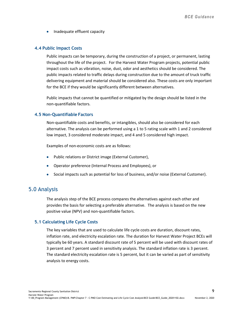• Inadequate effluent capacity

#### <span id="page-10-0"></span>**4.4 Public Impact Costs**

Public impacts can be temporary, during the construction of a project, or permanent, lasting throughout the life of the project. For the Harvest Water Program projects, potential public impact costs such as vibration, noise, dust, odor and aesthetics should be considered. The public impacts related to traffic delays during construction due to the amount of truck traffic delivering equipment and material should be considered also. These costs are only important for the BCE if they would be significantly different between alternatives.

Public impacts that cannot be quantified or mitigated by the design should be listed in the non-quantifiable factors.

#### <span id="page-10-1"></span>**4.5 Non-Quantifiable Factors**

Non-quantifiable costs and benefits, or intangibles, should also be considered for each alternative. The analysis can be performed using a 1 to 5 rating scale with 1 and 2 considered low impact, 3 considered moderate impact, and 4 and 5 considered high impact.

Examples of non-economic costs are as follows:

- Public relations or District image (External Customer),
- Operator preference (Internal Process and Employees), or
- Social impacts such as potential for loss of business, and/or noise (External Customer).

### <span id="page-10-2"></span>5.0 Analysis

The analysis step of the BCE process compares the alternatives against each other and provides the basis for selecting a preferable alternative. The analysis is based on the new positive value (NPV) and non-quantifiable factors.

#### <span id="page-10-3"></span>**5.1 Calculating Life Cycle Costs**

The key variables that are used to calculate life cycle costs are duration, discount rates, inflation rate, and electricity escalation rate. The duration for Harvest Water Project BCEs will typically be 60 years. A standard discount rate of 5 percent will be used with discount rates of 3 percent and 7 percent used in sensitivity analysis. The standard inflation rate is 3 percent. The standard electricity escalation rate is 5 percent, but it can be varied as part of sensitivity analysis to energy costs.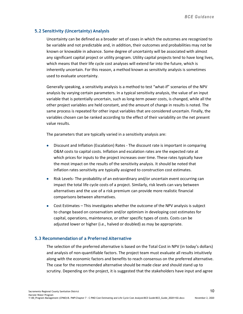#### <span id="page-11-0"></span>**5.2 Sensitivity (Uncertainty) Analysis**

Uncertainty can be defined as a broader set of cases in which the outcomes are recognized to be variable and not predictable and, in addition, their outcomes and probabilities may not be known or knowable in advance. Some degree of uncertainty will be associated with almost any significant capital project or utility program. Utility capital projects tend to have long lives, which means that their life cycle cost analyses will extend far into the future, which is inherently uncertain. For this reason, a method known as sensitivity analysis is sometimes used to evaluate uncertainty.

Generally speaking, a sensitivity analysis is a method to test "what-if" scenarios of the NPV analysis by varying certain parameters. In a typical sensitivity analysis, the value of an input variable that is potentially uncertain, such as long-term power costs, is changed, while all the other project variables are held constant, and the amount of change in results is noted. The same process is repeated for other input variables that are considered uncertain. Finally, the variables chosen can be ranked according to the effect of their variability on the net present value results.

The parameters that are typically varied in a sensitivity analysis are:

- Discount and Inflation (Escalation) Rates The discount rate is important in comparing O&M costs to capital costs. Inflation and escalation rates are the expected rate at which prices for inputs to the project increases over time. These rates typically have the most impact on the results of the sensitivity analysis. It should be noted that inflation rates sensitivity are typically assigned to construction cost estimates.
- Risk Levels- The probability of an extraordinary and/or uncertain event occurring can impact the total life cycle costs of a project. Similarly, risk levels can vary between alternatives and the use of a risk premium can provide more realistic financial comparisons between alternatives.
- Cost Estimates This investigates whether the outcome of the NPV analysis is subject to change based on conservatism and/or optimism in developing cost estimates for capital, operations, maintenance, or other specific types of costs. Costs can be adjusted lower or higher (i.e., halved or doubled) as may be appropriate.

#### <span id="page-11-1"></span>**5.3 Recommendation of a Preferred Alternative**

The selection of the preferred alternative is based on the Total Cost in NPV (in today's dollars) and analysis of non-quantifiable factors. The project team must evaluate all results intuitively along with the economic factors and benefits to reach consensus on the preferred alternative. The case for the recommended alternative should be made clear and should stand up to scrutiny. Depending on the project, it is suggested that the stakeholders have input and agree